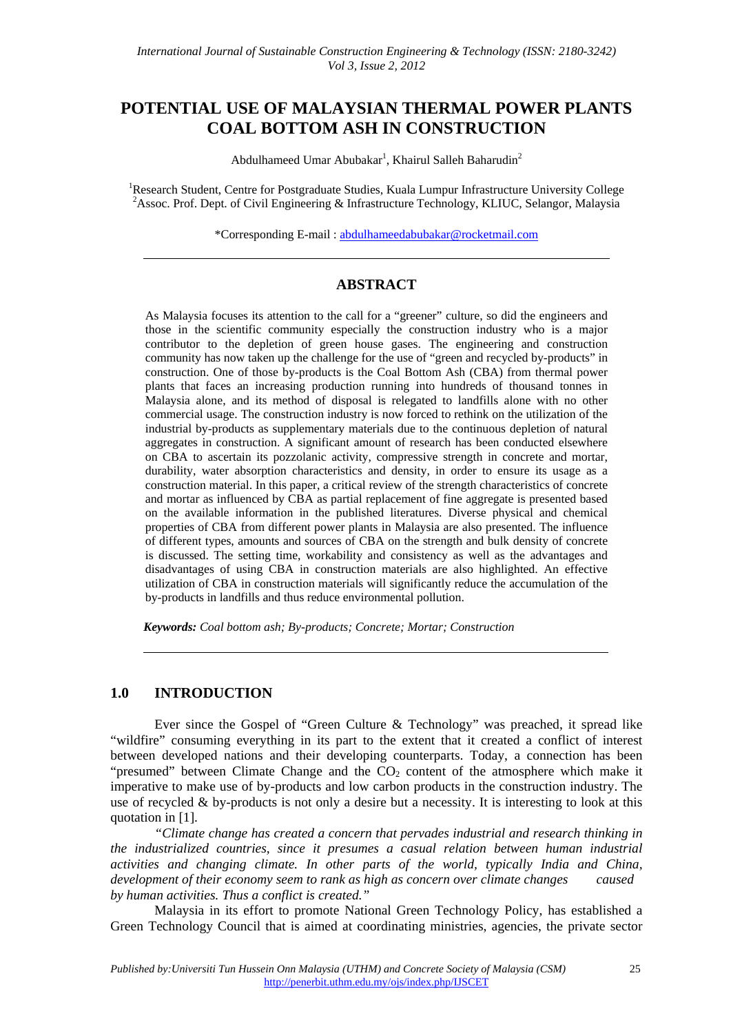# **POTENTIAL USE OF MALAYSIAN THERMAL POWER PLANTS COAL BOTTOM ASH IN CONSTRUCTION**

Abdulhameed Umar Abubakar<sup>1</sup>, Khairul Salleh Baharudin<sup>2</sup>

<sup>1</sup>Research Student, Centre for Postgraduate Studies, Kuala Lumpur Infrastructure University College <sup>2</sup>Assoc. Prof. Dept. of Civil Engineering & Infrastructure Technology, KLIUC, Selangor, Malaysia

\*Corresponding E-mail : abdulhameedabubakar@rocketmail.com

#### **ABSTRACT**

As Malaysia focuses its attention to the call for a "greener" culture, so did the engineers and those in the scientific community especially the construction industry who is a major contributor to the depletion of green house gases. The engineering and construction community has now taken up the challenge for the use of "green and recycled by-products" in construction. One of those by-products is the Coal Bottom Ash (CBA) from thermal power plants that faces an increasing production running into hundreds of thousand tonnes in Malaysia alone, and its method of disposal is relegated to landfills alone with no other commercial usage. The construction industry is now forced to rethink on the utilization of the industrial by-products as supplementary materials due to the continuous depletion of natural aggregates in construction. A significant amount of research has been conducted elsewhere on CBA to ascertain its pozzolanic activity, compressive strength in concrete and mortar, durability, water absorption characteristics and density, in order to ensure its usage as a construction material. In this paper, a critical review of the strength characteristics of concrete and mortar as influenced by CBA as partial replacement of fine aggregate is presented based on the available information in the published literatures. Diverse physical and chemical properties of CBA from different power plants in Malaysia are also presented. The influence of different types, amounts and sources of CBA on the strength and bulk density of concrete is discussed. The setting time, workability and consistency as well as the advantages and disadvantages of using CBA in construction materials are also highlighted. An effective utilization of CBA in construction materials will significantly reduce the accumulation of the by-products in landfills and thus reduce environmental pollution.

*Keywords: Coal bottom ash; By-products; Concrete; Mortar; Construction*

## **1.0 INTRODUCTION**

Ever since the Gospel of "Green Culture & Technology" was preached, it spread like "wildfire" consuming everything in its part to the extent that it created a conflict of interest between developed nations and their developing counterparts. Today, a connection has been "presumed" between Climate Change and the  $CO<sub>2</sub>$  content of the atmosphere which make it imperative to make use of by-products and low carbon products in the construction industry. The use of recycled  $\&$  by-products is not only a desire but a necessity. It is interesting to look at this quotation in [1].

*"Climate change has created a concern that pervades industrial and research thinking in the industrialized countries, since it presumes a casual relation between human industrial activities and changing climate. In other parts of the world, typically India and China, development of their economy seem to rank as high as concern over climate changes caused by human activities. Thus a conflict is created."* 

Malaysia in its effort to promote National Green Technology Policy, has established a Green Technology Council that is aimed at coordinating ministries, agencies, the private sector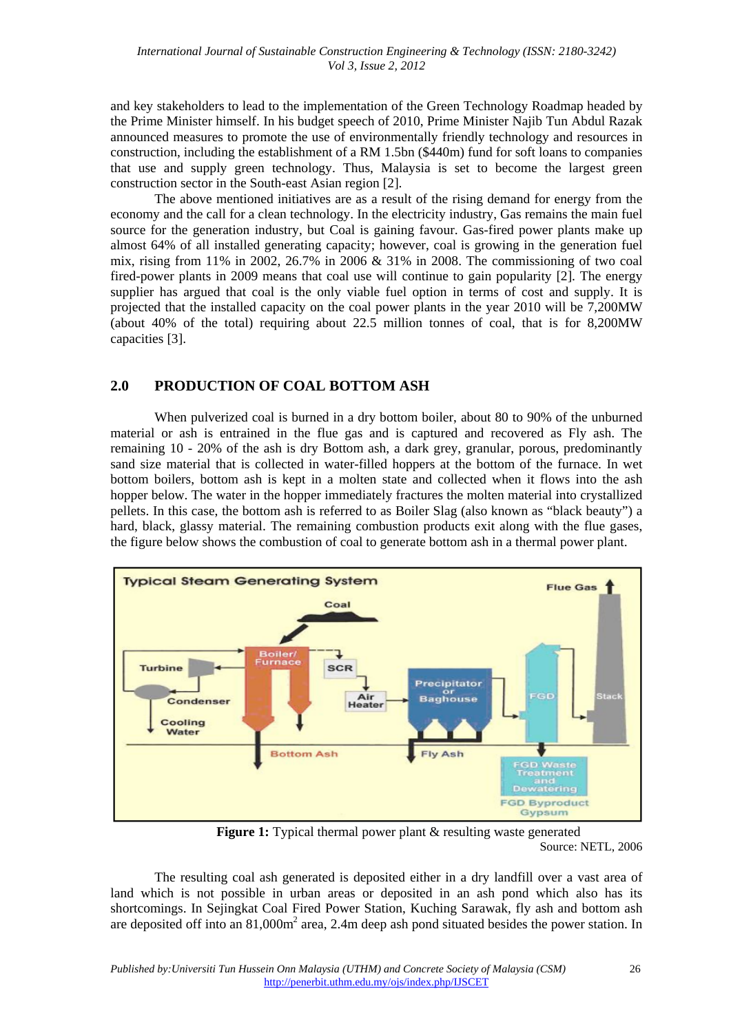and key stakeholders to lead to the implementation of the Green Technology Roadmap headed by the Prime Minister himself. In his budget speech of 2010, Prime Minister Najib Tun Abdul Razak announced measures to promote the use of environmentally friendly technology and resources in construction, including the establishment of a RM 1.5bn (\$440m) fund for soft loans to companies that use and supply green technology. Thus, Malaysia is set to become the largest green construction sector in the South-east Asian region [2].

The above mentioned initiatives are as a result of the rising demand for energy from the economy and the call for a clean technology. In the electricity industry, Gas remains the main fuel source for the generation industry, but Coal is gaining favour. Gas-fired power plants make up almost 64% of all installed generating capacity; however, coal is growing in the generation fuel mix, rising from 11% in 2002, 26.7% in 2006 & 31% in 2008. The commissioning of two coal fired-power plants in 2009 means that coal use will continue to gain popularity [2]. The energy supplier has argued that coal is the only viable fuel option in terms of cost and supply. It is projected that the installed capacity on the coal power plants in the year 2010 will be 7,200MW (about 40% of the total) requiring about 22.5 million tonnes of coal, that is for 8,200MW capacities [3].

## **2.0 PRODUCTION OF COAL BOTTOM ASH**

When pulverized coal is burned in a dry bottom boiler, about 80 to 90% of the unburned material or ash is entrained in the flue gas and is captured and recovered as Fly ash. The remaining 10 - 20% of the ash is dry Bottom ash, a dark grey, granular, porous, predominantly sand size material that is collected in water-filled hoppers at the bottom of the furnace. In wet bottom boilers, bottom ash is kept in a molten state and collected when it flows into the ash hopper below. The water in the hopper immediately fractures the molten material into crystallized pellets. In this case, the bottom ash is referred to as Boiler Slag (also known as "black beauty") a hard, black, glassy material. The remaining combustion products exit along with the flue gases, the figure below shows the combustion of coal to generate bottom ash in a thermal power plant.



**Figure 1:** Typical thermal power plant & resulting waste generated Source: NETL, 2006

The resulting coal ash generated is deposited either in a dry landfill over a vast area of land which is not possible in urban areas or deposited in an ash pond which also has its shortcomings. In Sejingkat Coal Fired Power Station, Kuching Sarawak, fly ash and bottom ash are deposited off into an  $81,000$ m<sup>2</sup> area, 2.4m deep ash pond situated besides the power station. In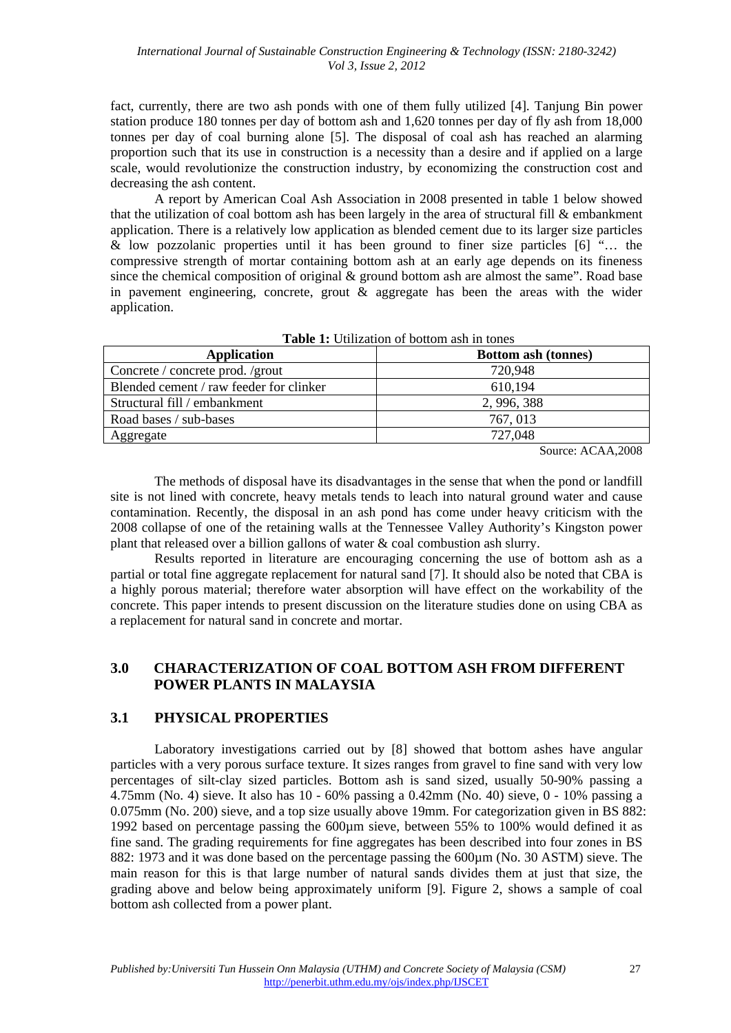fact, currently, there are two ash ponds with one of them fully utilized [4]. Tanjung Bin power station produce 180 tonnes per day of bottom ash and 1,620 tonnes per day of fly ash from 18,000 tonnes per day of coal burning alone [5]. The disposal of coal ash has reached an alarming proportion such that its use in construction is a necessity than a desire and if applied on a large scale, would revolutionize the construction industry, by economizing the construction cost and decreasing the ash content.

A report by American Coal Ash Association in 2008 presented in table 1 below showed that the utilization of coal bottom ash has been largely in the area of structural fill & embankment application. There is a relatively low application as blended cement due to its larger size particles  $\&$  low pozzolanic properties until it has been ground to finer size particles [6] "... the compressive strength of mortar containing bottom ash at an early age depends on its fineness since the chemical composition of original & ground bottom ash are almost the same". Road base in pavement engineering, concrete, grout  $\&$  aggregate has been the areas with the wider application.

| <b>Application</b>                      | Bottom ash (tonnes) |
|-----------------------------------------|---------------------|
| Concrete / concrete prod. /grout        | 720,948             |
| Blended cement / raw feeder for clinker | 610,194             |
| Structural fill / embankment            | 2, 996, 388         |
| Road bases / sub-bases                  | 767, 013            |
| Aggregate                               | 727,048             |

**Table 1:** Utilization of bottom ash in tones

Source: ACAA,2008

The methods of disposal have its disadvantages in the sense that when the pond or landfill site is not lined with concrete, heavy metals tends to leach into natural ground water and cause contamination. Recently, the disposal in an ash pond has come under heavy criticism with the 2008 collapse of one of the retaining walls at the Tennessee Valley Authority's Kingston power plant that released over a billion gallons of water & coal combustion ash slurry.

Results reported in literature are encouraging concerning the use of bottom ash as a partial or total fine aggregate replacement for natural sand [7]. It should also be noted that CBA is a highly porous material; therefore water absorption will have effect on the workability of the concrete. This paper intends to present discussion on the literature studies done on using CBA as a replacement for natural sand in concrete and mortar.

## **3.0 CHARACTERIZATION OF COAL BOTTOM ASH FROM DIFFERENT POWER PLANTS IN MALAYSIA**

## **3.1 PHYSICAL PROPERTIES**

Laboratory investigations carried out by [8] showed that bottom ashes have angular particles with a very porous surface texture. It sizes ranges from gravel to fine sand with very low percentages of silt-clay sized particles. Bottom ash is sand sized, usually 50-90% passing a 4.75mm (No. 4) sieve. It also has 10 - 60% passing a 0.42mm (No. 40) sieve, 0 - 10% passing a 0.075mm (No. 200) sieve, and a top size usually above 19mm. For categorization given in BS 882: 1992 based on percentage passing the 600µm sieve, between 55% to 100% would defined it as fine sand. The grading requirements for fine aggregates has been described into four zones in BS 882: 1973 and it was done based on the percentage passing the 600µm (No. 30 ASTM) sieve. The main reason for this is that large number of natural sands divides them at just that size, the grading above and below being approximately uniform [9]. Figure 2, shows a sample of coal bottom ash collected from a power plant.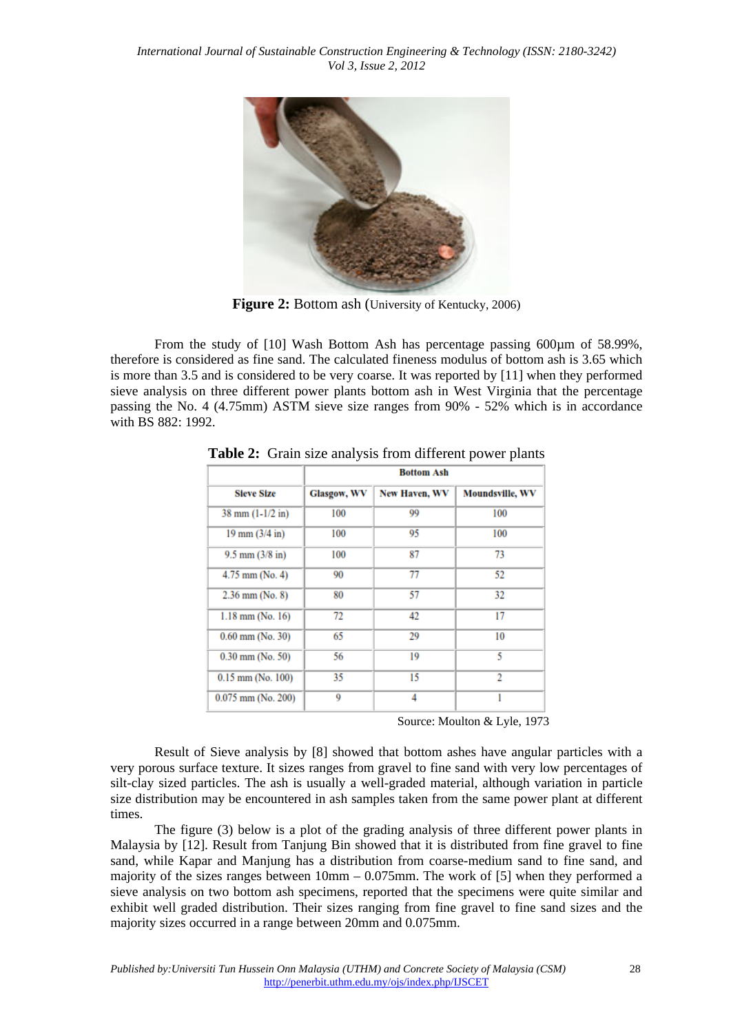

**Figure 2:** Bottom ash (University of Kentucky, 2006)

From the study of [10] Wash Bottom Ash has percentage passing 600um of 58.99%, therefore is considered as fine sand. The calculated fineness modulus of bottom ash is 3.65 which is more than 3.5 and is considered to be very coarse. It was reported by [11] when they performed sieve analysis on three different power plants bottom ash in West Virginia that the percentage passing the No. 4 (4.75mm) ASTM sieve size ranges from 90% - 52% which is in accordance with BS 882: 1992.

|                                     | <b>Bottom Ash</b>  |                      |                        |
|-------------------------------------|--------------------|----------------------|------------------------|
| <b>Sieve Size</b>                   | <b>Glasgow, WV</b> | <b>New Haven, WV</b> | <b>Moundsville, WV</b> |
| $38 \text{ mm } (1-1/2 \text{ in})$ | 100                | 99                   | 100                    |
| $19 \text{ mm} (3/4 \text{ in})$    | 100                | 95                   | 100                    |
| $9.5$ mm $(3/8$ in)                 | 100                | 87                   | 73                     |
| $4.75$ mm (No. 4)                   | 90                 | 77                   | 52                     |
| $2.36$ mm (No. 8)                   | 80                 | 57                   | 32                     |
| $1.18$ mm (No. 16)                  | 72                 | 42                   | 17                     |
| $0.60$ mm (No. 30)                  | 65                 | 29                   | 10                     |
| $0.30$ mm (No. 50)                  | 56                 | 19                   | 5                      |
| $0.15$ mm (No. 100)                 | 35                 | 15                   | 2                      |
| $0.075$ mm (No. 200)                | 9                  | 4                    |                        |

**Table 2:** Grain size analysis from different power plants

Source: Moulton & Lyle, 1973

Result of Sieve analysis by [8] showed that bottom ashes have angular particles with a very porous surface texture. It sizes ranges from gravel to fine sand with very low percentages of silt-clay sized particles. The ash is usually a well-graded material, although variation in particle size distribution may be encountered in ash samples taken from the same power plant at different times.

The figure (3) below is a plot of the grading analysis of three different power plants in Malaysia by [12]. Result from Tanjung Bin showed that it is distributed from fine gravel to fine sand, while Kapar and Manjung has a distribution from coarse-medium sand to fine sand, and majority of the sizes ranges between 10mm – 0.075mm. The work of [5] when they performed a sieve analysis on two bottom ash specimens, reported that the specimens were quite similar and exhibit well graded distribution. Their sizes ranging from fine gravel to fine sand sizes and the majority sizes occurred in a range between 20mm and 0.075mm.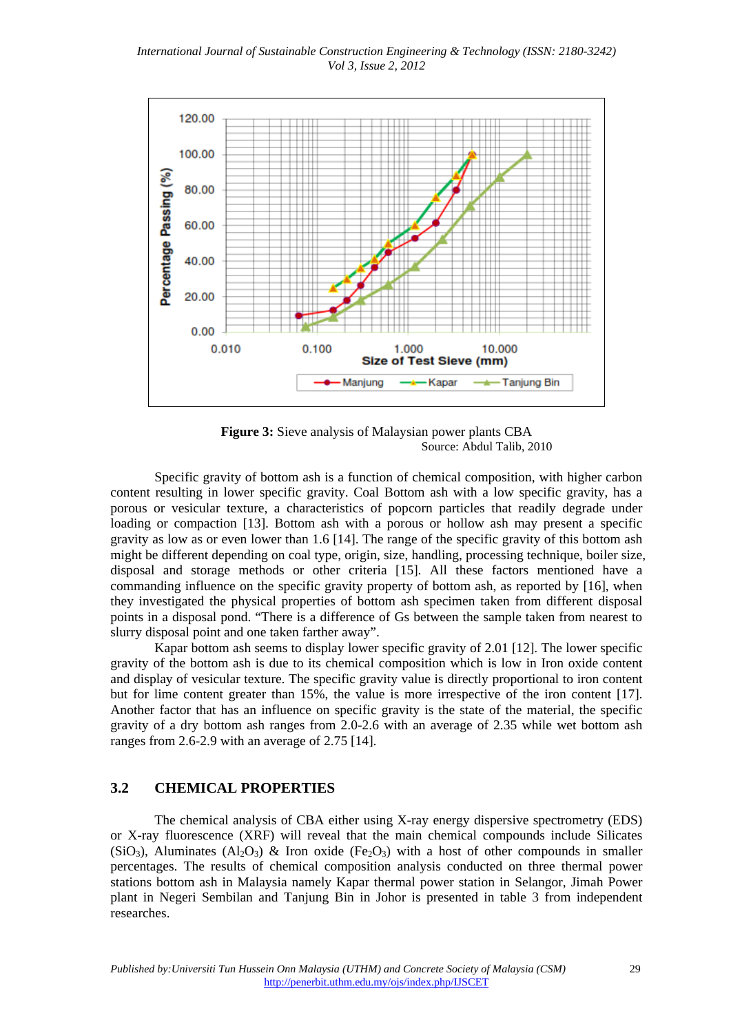

**Figure 3:** Sieve analysis of Malaysian power plants CBA Source: Abdul Talib, 2010

Specific gravity of bottom ash is a function of chemical composition, with higher carbon content resulting in lower specific gravity. Coal Bottom ash with a low specific gravity, has a porous or vesicular texture, a characteristics of popcorn particles that readily degrade under loading or compaction [13]. Bottom ash with a porous or hollow ash may present a specific gravity as low as or even lower than 1.6 [14]. The range of the specific gravity of this bottom ash might be different depending on coal type, origin, size, handling, processing technique, boiler size, disposal and storage methods or other criteria [15]. All these factors mentioned have a commanding influence on the specific gravity property of bottom ash, as reported by [16], when they investigated the physical properties of bottom ash specimen taken from different disposal points in a disposal pond. "There is a difference of Gs between the sample taken from nearest to slurry disposal point and one taken farther away".

Kapar bottom ash seems to display lower specific gravity of 2.01 [12]. The lower specific gravity of the bottom ash is due to its chemical composition which is low in Iron oxide content and display of vesicular texture. The specific gravity value is directly proportional to iron content but for lime content greater than 15%, the value is more irrespective of the iron content [17]. Another factor that has an influence on specific gravity is the state of the material, the specific gravity of a dry bottom ash ranges from 2.0-2.6 with an average of 2.35 while wet bottom ash ranges from 2.6-2.9 with an average of 2.75 [14].

## **3.2 CHEMICAL PROPERTIES**

The chemical analysis of CBA either using X-ray energy dispersive spectrometry (EDS) or X-ray fluorescence (XRF) will reveal that the main chemical compounds include Silicates (SiO<sub>3</sub>), Aluminates (Al<sub>2</sub>O<sub>3</sub>) & Iron oxide (Fe<sub>2</sub>O<sub>3</sub>) with a host of other compounds in smaller percentages. The results of chemical composition analysis conducted on three thermal power stations bottom ash in Malaysia namely Kapar thermal power station in Selangor, Jimah Power plant in Negeri Sembilan and Tanjung Bin in Johor is presented in table 3 from independent researches.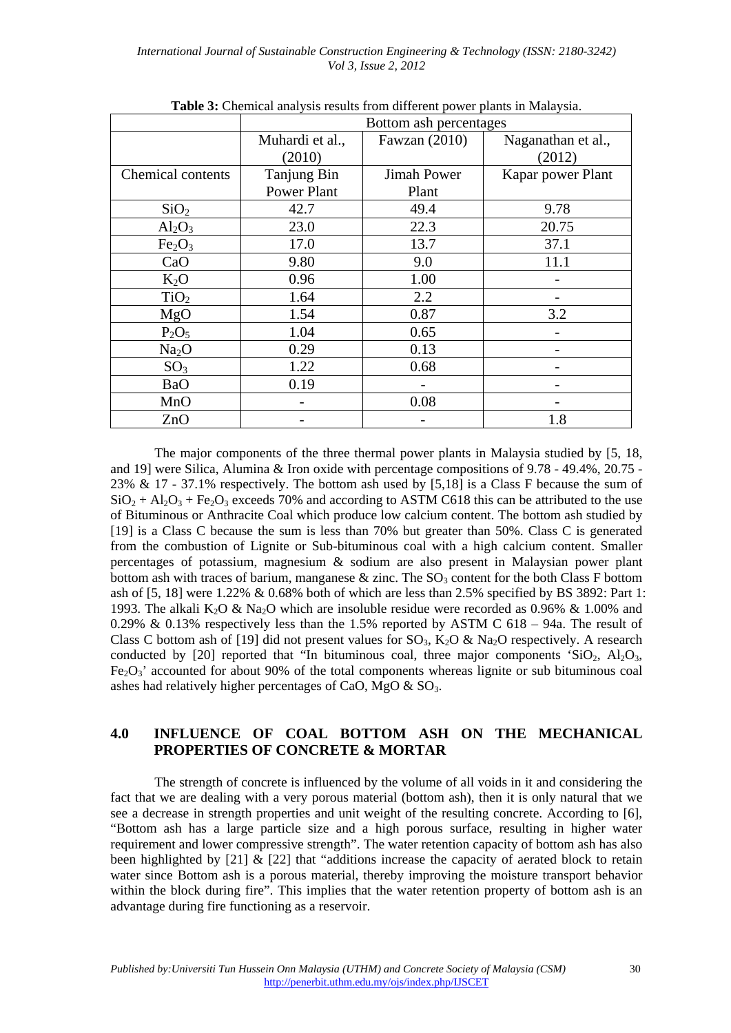|                                | Bottom ash percentages             |       |                    |  |
|--------------------------------|------------------------------------|-------|--------------------|--|
|                                | Muhardi et al.,<br>Fawzan $(2010)$ |       | Naganathan et al., |  |
|                                | (2010)                             |       | (2012)             |  |
| Chemical contents              | Tanjung Bin<br>Jimah Power         |       | Kapar power Plant  |  |
|                                | Power Plant                        | Plant |                    |  |
| SiO <sub>2</sub>               | 42.7                               | 49.4  | 9.78               |  |
| $Al_2O_3$                      | 23.0                               | 22.3  | 20.75              |  |
| Fe <sub>2</sub> O <sub>3</sub> | 17.0                               | 13.7  | 37.1               |  |
| CaO                            | 9.80                               | 9.0   | 11.1               |  |
| $K_2O$                         | 0.96                               | 1.00  |                    |  |
| TiO <sub>2</sub>               | 1.64                               | 2.2   |                    |  |
| MgO                            | 1.54                               | 0.87  | 3.2                |  |
| $P_2O_5$                       | 1.04                               | 0.65  |                    |  |
| Na <sub>2</sub> O              | 0.29                               | 0.13  |                    |  |
| SO <sub>3</sub>                | 1.22                               | 0.68  |                    |  |
| BaO                            | 0.19                               |       |                    |  |
| MnO                            |                                    | 0.08  |                    |  |
| ZnO                            |                                    |       | 1.8                |  |

**Table 3:** Chemical analysis results from different power plants in Malaysia.

The major components of the three thermal power plants in Malaysia studied by [5, 18, and 19] were Silica, Alumina & Iron oxide with percentage compositions of 9.78 - 49.4%, 20.75 - 23% & 17 - 37.1% respectively. The bottom ash used by [5,18] is a Class F because the sum of  $SiO_2 + Al_2O_3 + Fe_2O_3$  exceeds 70% and according to ASTM C618 this can be attributed to the use of Bituminous or Anthracite Coal which produce low calcium content. The bottom ash studied by [19] is a Class C because the sum is less than 70% but greater than 50%. Class C is generated from the combustion of Lignite or Sub-bituminous coal with a high calcium content. Smaller percentages of potassium, magnesium & sodium are also present in Malaysian power plant bottom ash with traces of barium, manganese  $\&$  zinc. The  $SO_3$  content for the both Class F bottom ash of [5, 18] were 1.22% & 0.68% both of which are less than 2.5% specified by BS 3892: Part 1: 1993. The alkali K<sub>2</sub>O & Na<sub>2</sub>O which are insoluble residue were recorded as 0.96% & 1.00% and 0.29% & 0.13% respectively less than the 1.5% reported by ASTM C 618 – 94a. The result of Class C bottom ash of [19] did not present values for  $SO_3$ ,  $K_2O \& Na_2O$  respectively. A research conducted by [20] reported that "In bituminous coal, three major components 'SiO<sub>2</sub>, Al<sub>2</sub>O<sub>3</sub>,  $Fe<sub>2</sub>O<sub>3</sub>$ ' accounted for about 90% of the total components whereas lignite or sub bituminous coal ashes had relatively higher percentages of CaO, MgO  $\&$  SO<sub>3</sub>.

#### **4.0 INFLUENCE OF COAL BOTTOM ASH ON THE MECHANICAL PROPERTIES OF CONCRETE & MORTAR**

The strength of concrete is influenced by the volume of all voids in it and considering the fact that we are dealing with a very porous material (bottom ash), then it is only natural that we see a decrease in strength properties and unit weight of the resulting concrete. According to [6], "Bottom ash has a large particle size and a high porous surface, resulting in higher water requirement and lower compressive strength". The water retention capacity of bottom ash has also been highlighted by [21] & [22] that "additions increase the capacity of aerated block to retain water since Bottom ash is a porous material, thereby improving the moisture transport behavior within the block during fire". This implies that the water retention property of bottom ash is an advantage during fire functioning as a reservoir.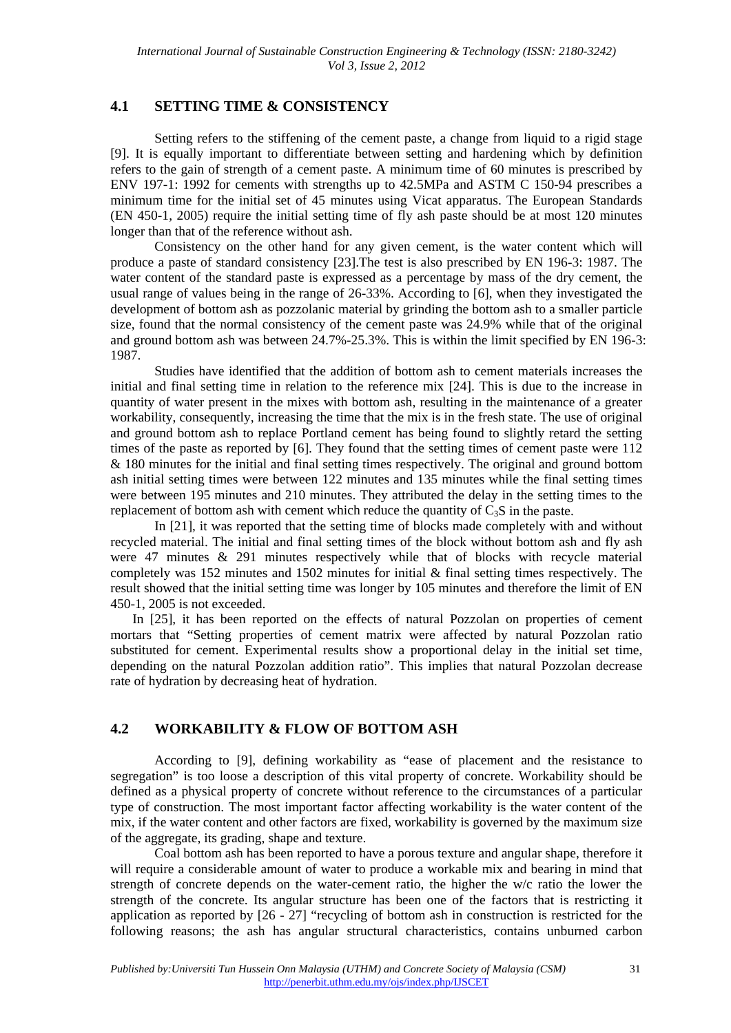## **4.1 SETTING TIME & CONSISTENCY**

Setting refers to the stiffening of the cement paste, a change from liquid to a rigid stage [9]. It is equally important to differentiate between setting and hardening which by definition refers to the gain of strength of a cement paste. A minimum time of 60 minutes is prescribed by ENV 197-1: 1992 for cements with strengths up to 42.5MPa and ASTM C 150-94 prescribes a minimum time for the initial set of 45 minutes using Vicat apparatus. The European Standards (EN 450-1, 2005) require the initial setting time of fly ash paste should be at most 120 minutes longer than that of the reference without ash.

Consistency on the other hand for any given cement, is the water content which will produce a paste of standard consistency [23].The test is also prescribed by EN 196-3: 1987. The water content of the standard paste is expressed as a percentage by mass of the dry cement, the usual range of values being in the range of 26-33%. According to [6], when they investigated the development of bottom ash as pozzolanic material by grinding the bottom ash to a smaller particle size, found that the normal consistency of the cement paste was 24.9% while that of the original and ground bottom ash was between 24.7%-25.3%. This is within the limit specified by EN 196-3: 1987.

Studies have identified that the addition of bottom ash to cement materials increases the initial and final setting time in relation to the reference mix [24]. This is due to the increase in quantity of water present in the mixes with bottom ash, resulting in the maintenance of a greater workability, consequently, increasing the time that the mix is in the fresh state. The use of original and ground bottom ash to replace Portland cement has being found to slightly retard the setting times of the paste as reported by [6]. They found that the setting times of cement paste were 112 & 180 minutes for the initial and final setting times respectively. The original and ground bottom ash initial setting times were between 122 minutes and 135 minutes while the final setting times were between 195 minutes and 210 minutes. They attributed the delay in the setting times to the replacement of bottom ash with cement which reduce the quantity of  $C_3S$  in the paste.

In [21], it was reported that the setting time of blocks made completely with and without recycled material. The initial and final setting times of the block without bottom ash and fly ash were 47 minutes & 291 minutes respectively while that of blocks with recycle material completely was 152 minutes and 1502 minutes for initial & final setting times respectively. The result showed that the initial setting time was longer by 105 minutes and therefore the limit of EN 450-1, 2005 is not exceeded.

In [25], it has been reported on the effects of natural Pozzolan on properties of cement mortars that "Setting properties of cement matrix were affected by natural Pozzolan ratio substituted for cement. Experimental results show a proportional delay in the initial set time, depending on the natural Pozzolan addition ratio". This implies that natural Pozzolan decrease rate of hydration by decreasing heat of hydration.

## **4.2 WORKABILITY & FLOW OF BOTTOM ASH**

According to [9], defining workability as "ease of placement and the resistance to segregation" is too loose a description of this vital property of concrete. Workability should be defined as a physical property of concrete without reference to the circumstances of a particular type of construction. The most important factor affecting workability is the water content of the mix, if the water content and other factors are fixed, workability is governed by the maximum size of the aggregate, its grading, shape and texture.

Coal bottom ash has been reported to have a porous texture and angular shape, therefore it will require a considerable amount of water to produce a workable mix and bearing in mind that strength of concrete depends on the water-cement ratio, the higher the w/c ratio the lower the strength of the concrete. Its angular structure has been one of the factors that is restricting it application as reported by [26 - 27] "recycling of bottom ash in construction is restricted for the following reasons; the ash has angular structural characteristics, contains unburned carbon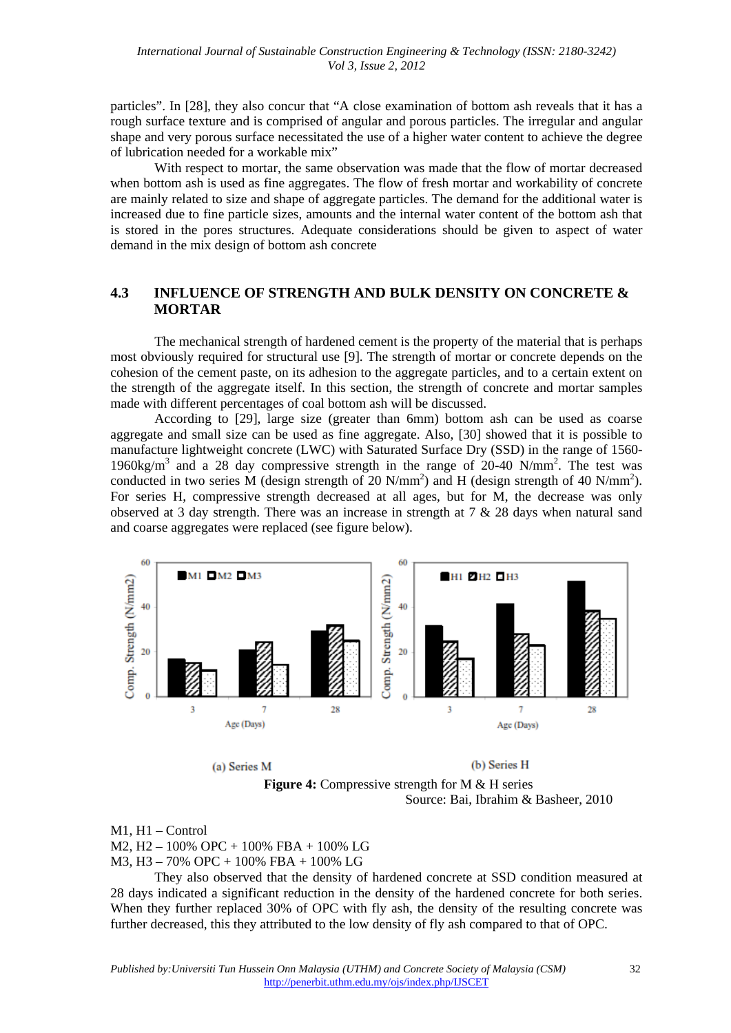particles". In [28], they also concur that "A close examination of bottom ash reveals that it has a rough surface texture and is comprised of angular and porous particles. The irregular and angular shape and very porous surface necessitated the use of a higher water content to achieve the degree of lubrication needed for a workable mix"

With respect to mortar, the same observation was made that the flow of mortar decreased when bottom ash is used as fine aggregates. The flow of fresh mortar and workability of concrete are mainly related to size and shape of aggregate particles. The demand for the additional water is increased due to fine particle sizes, amounts and the internal water content of the bottom ash that is stored in the pores structures. Adequate considerations should be given to aspect of water demand in the mix design of bottom ash concrete

## **4.3 INFLUENCE OF STRENGTH AND BULK DENSITY ON CONCRETE & MORTAR**

The mechanical strength of hardened cement is the property of the material that is perhaps most obviously required for structural use [9]. The strength of mortar or concrete depends on the cohesion of the cement paste, on its adhesion to the aggregate particles, and to a certain extent on the strength of the aggregate itself. In this section, the strength of concrete and mortar samples made with different percentages of coal bottom ash will be discussed.

According to [29], large size (greater than 6mm) bottom ash can be used as coarse aggregate and small size can be used as fine aggregate. Also, [30] showed that it is possible to manufacture lightweight concrete (LWC) with Saturated Surface Dry (SSD) in the range of 1560- 1960kg/m<sup>3</sup> and a 28 day compressive strength in the range of 20-40 N/mm<sup>2</sup>. The test was conducted in two series M (design strength of 20 N/mm<sup>2</sup>) and H (design strength of 40 N/mm<sup>2</sup>). For series H, compressive strength decreased at all ages, but for M, the decrease was only observed at 3 day strength. There was an increase in strength at  $7 \& 28$  days when natural sand and coarse aggregates were replaced (see figure below).



(a) Series M **Figure 4:** Compressive strength for M & H series Source: Bai, Ibrahim & Basheer, 2010

M1, H1 – Control

M2, H2 – 100% OPC + 100% FBA + 100% LG

M3, H3 – 70% OPC + 100% FBA + 100% LG

They also observed that the density of hardened concrete at SSD condition measured at 28 days indicated a significant reduction in the density of the hardened concrete for both series. When they further replaced 30% of OPC with fly ash, the density of the resulting concrete was further decreased, this they attributed to the low density of fly ash compared to that of OPC.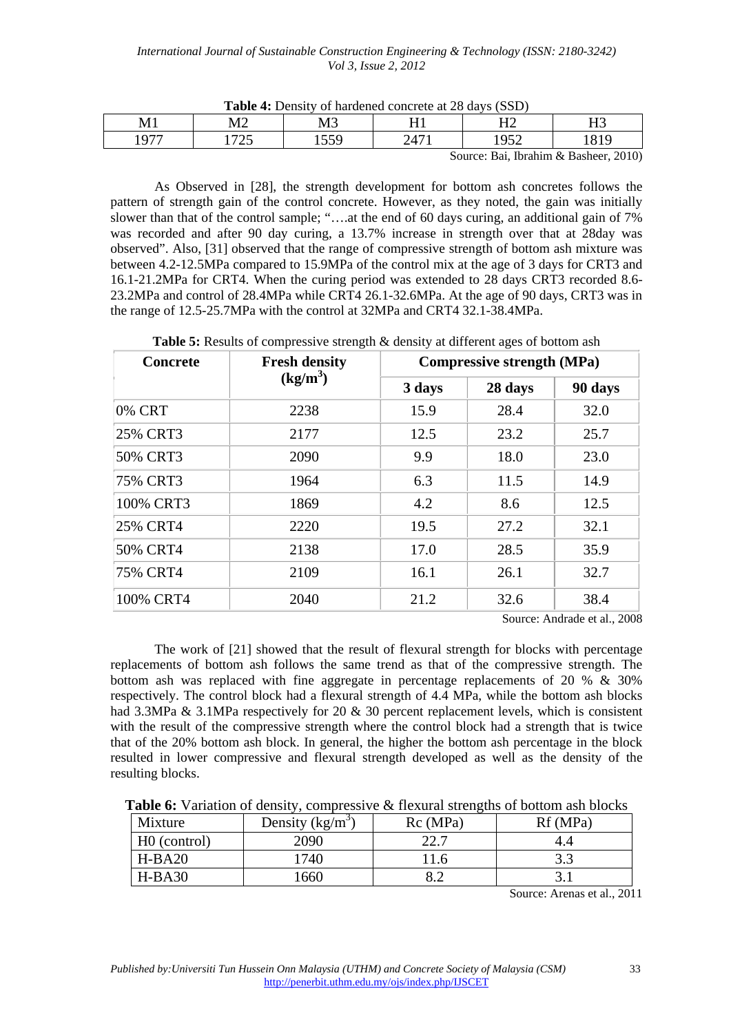| M1                                                                                             | M2                      | M7<br><b>IVLJ</b> | . . | т тл<br>−<br>┸┸┷ | ТТЛ<br>ᅭ |
|------------------------------------------------------------------------------------------------|-------------------------|-------------------|-----|------------------|----------|
| 1977                                                                                           | $\tau \wedge \tau$<br>ت | 550<br>1 J J J    | 247 | 052              | 1819     |
| $R_{\text{current}}$ , $D_{\text{el}}$ ; Ihaskins, $\theta$ , $D_{\text{cell}}$ , $\theta(10)$ |                         |                   |     |                  |          |

**Table 4:** Density of hardened concrete at 28 days (SSD)

Source: Bai, Ibrahim & Basheer, 2010)

As Observed in [28], the strength development for bottom ash concretes follows the pattern of strength gain of the control concrete. However, as they noted, the gain was initially slower than that of the control sample; "....at the end of 60 days curing, an additional gain of 7% was recorded and after 90 day curing, a 13.7% increase in strength over that at 28day was observed". Also, [31] observed that the range of compressive strength of bottom ash mixture was between 4.2-12.5MPa compared to 15.9MPa of the control mix at the age of 3 days for CRT3 and 16.1-21.2MPa for CRT4. When the curing period was extended to 28 days CRT3 recorded 8.6- 23.2MPa and control of 28.4MPa while CRT4 26.1-32.6MPa. At the age of 90 days, CRT3 was in the range of 12.5-25.7MPa with the control at 32MPa and CRT4 32.1-38.4MPa.

| <b>Concrete</b> | <b>Fresh density</b><br>$(kg/m^3)$ | <b>Compressive strength (MPa)</b> |         |         |
|-----------------|------------------------------------|-----------------------------------|---------|---------|
|                 |                                    | 3 days                            | 28 days | 90 days |
| $0\%$ CRT       | 2238                               | 15.9                              | 28.4    | 32.0    |
| 25% CRT3        | 2177                               | 12.5                              | 23.2    | 25.7    |
| 50% CRT3        | 2090                               | 9.9                               | 18.0    | 23.0    |
| 75% CRT3        | 1964                               | 6.3                               | 11.5    | 14.9    |
| 100% CRT3       | 1869                               | 4.2                               | 8.6     | 12.5    |
| 25% CRT4        | 2220                               | 19.5                              | 27.2    | 32.1    |
| 50% CRT4        | 2138                               | 17.0                              | 28.5    | 35.9    |
| 75% CRT4        | 2109                               | 16.1                              | 26.1    | 32.7    |
| 100% CRT4       | 2040                               | 21.2                              | 32.6    | 38.4    |

**Table 5:** Results of compressive strength & density at different ages of bottom ash

Source: Andrade et al., 2008

The work of [21] showed that the result of flexural strength for blocks with percentage replacements of bottom ash follows the same trend as that of the compressive strength. The bottom ash was replaced with fine aggregate in percentage replacements of 20 % & 30% respectively. The control block had a flexural strength of 4.4 MPa, while the bottom ash blocks had 3.3MPa & 3.1MPa respectively for 20 & 30 percent replacement levels, which is consistent with the result of the compressive strength where the control block had a strength that is twice that of the 20% bottom ash block. In general, the higher the bottom ash percentage in the block resulted in lower compressive and flexural strength developed as well as the density of the resulting blocks.

**Table 6:** Variation of density, compressive & flexural strengths of bottom ash blocks

| Mixture                  | Density $(kg/m^3)$ | Rc(MPa) | Rf(MPa) |
|--------------------------|--------------------|---------|---------|
| H <sub>0</sub> (control) | 2090               | າາ າ    | 4.4     |
| $H-BA20$                 | 1740               | .1.6    | 22      |
| $H-BA30$                 | 1660               |         | J.I     |

Source: Arenas et al., 2011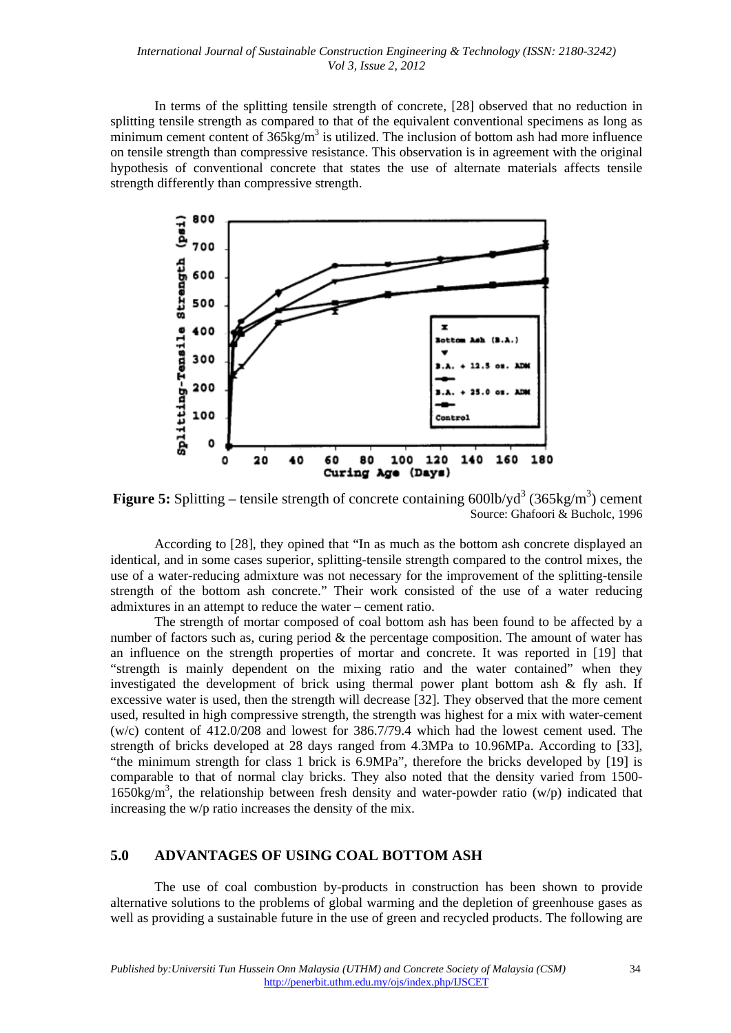#### *International Journal of Sustainable Construction Engineering & Technology (ISSN: 2180-3242) Vol 3, Issue 2, 2012*

In terms of the splitting tensile strength of concrete, [28] observed that no reduction in splitting tensile strength as compared to that of the equivalent conventional specimens as long as minimum cement content of  $365\text{kg/m}^3$  is utilized. The inclusion of bottom ash had more influence on tensile strength than compressive resistance. This observation is in agreement with the original hypothesis of conventional concrete that states the use of alternate materials affects tensile strength differently than compressive strength.



**Figure 5:** Splitting – tensile strength of concrete containing  $600\frac{lb}{yd}$  (365kg/m<sup>3</sup>) cement Source: Ghafoori & Bucholc, 1996

According to [28], they opined that "In as much as the bottom ash concrete displayed an identical, and in some cases superior, splitting-tensile strength compared to the control mixes, the use of a water-reducing admixture was not necessary for the improvement of the splitting-tensile strength of the bottom ash concrete." Their work consisted of the use of a water reducing admixtures in an attempt to reduce the water – cement ratio.

The strength of mortar composed of coal bottom ash has been found to be affected by a number of factors such as, curing period & the percentage composition. The amount of water has an influence on the strength properties of mortar and concrete. It was reported in [19] that "strength is mainly dependent on the mixing ratio and the water contained" when they investigated the development of brick using thermal power plant bottom ash  $\&$  fly ash. If excessive water is used, then the strength will decrease [32]. They observed that the more cement used, resulted in high compressive strength, the strength was highest for a mix with water-cement (w/c) content of 412.0/208 and lowest for 386.7/79.4 which had the lowest cement used. The strength of bricks developed at 28 days ranged from 4.3MPa to 10.96MPa. According to [33], "the minimum strength for class 1 brick is 6.9MPa", therefore the bricks developed by [19] is comparable to that of normal clay bricks. They also noted that the density varied from 1500- 1650kg/m<sup>3</sup>, the relationship between fresh density and water-powder ratio (w/p) indicated that increasing the w/p ratio increases the density of the mix.

## **5.0 ADVANTAGES OF USING COAL BOTTOM ASH**

The use of coal combustion by-products in construction has been shown to provide alternative solutions to the problems of global warming and the depletion of greenhouse gases as well as providing a sustainable future in the use of green and recycled products. The following are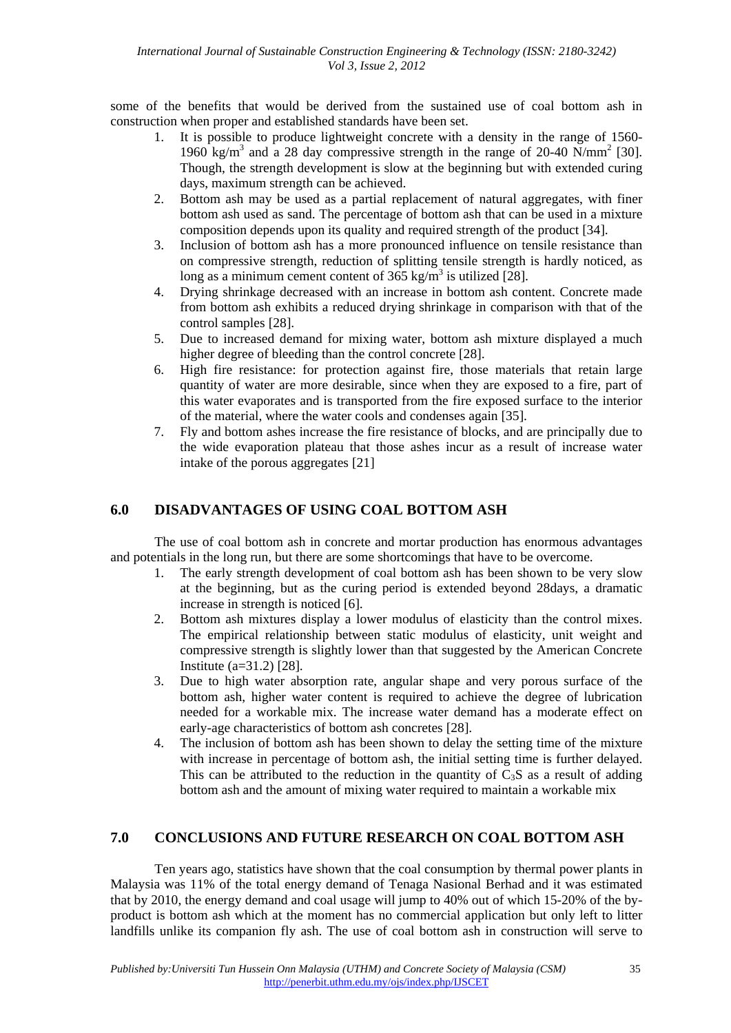some of the benefits that would be derived from the sustained use of coal bottom ash in construction when proper and established standards have been set.

- 1. It is possible to produce lightweight concrete with a density in the range of 1560- 1960 kg/m<sup>3</sup> and a 28 day compressive strength in the range of 20-40 N/mm<sup>2</sup> [30]. Though, the strength development is slow at the beginning but with extended curing days, maximum strength can be achieved.
- 2. Bottom ash may be used as a partial replacement of natural aggregates, with finer bottom ash used as sand. The percentage of bottom ash that can be used in a mixture composition depends upon its quality and required strength of the product [34].
- 3. Inclusion of bottom ash has a more pronounced influence on tensile resistance than on compressive strength, reduction of splitting tensile strength is hardly noticed, as long as a minimum cement content of  $365 \text{ kg/m}^3$  is utilized [28].
- 4. Drying shrinkage decreased with an increase in bottom ash content. Concrete made from bottom ash exhibits a reduced drying shrinkage in comparison with that of the control samples [28].
- 5. Due to increased demand for mixing water, bottom ash mixture displayed a much higher degree of bleeding than the control concrete [28].
- 6. High fire resistance: for protection against fire, those materials that retain large quantity of water are more desirable, since when they are exposed to a fire, part of this water evaporates and is transported from the fire exposed surface to the interior of the material, where the water cools and condenses again [35].
- 7. Fly and bottom ashes increase the fire resistance of blocks, and are principally due to the wide evaporation plateau that those ashes incur as a result of increase water intake of the porous aggregates [21]

## **6.0 DISADVANTAGES OF USING COAL BOTTOM ASH**

The use of coal bottom ash in concrete and mortar production has enormous advantages and potentials in the long run, but there are some shortcomings that have to be overcome.

- 1. The early strength development of coal bottom ash has been shown to be very slow at the beginning, but as the curing period is extended beyond 28days, a dramatic increase in strength is noticed [6].
- 2. Bottom ash mixtures display a lower modulus of elasticity than the control mixes. The empirical relationship between static modulus of elasticity, unit weight and compressive strength is slightly lower than that suggested by the American Concrete Institute (a=31.2) [28].
- 3. Due to high water absorption rate, angular shape and very porous surface of the bottom ash, higher water content is required to achieve the degree of lubrication needed for a workable mix. The increase water demand has a moderate effect on early-age characteristics of bottom ash concretes [28].
- 4. The inclusion of bottom ash has been shown to delay the setting time of the mixture with increase in percentage of bottom ash, the initial setting time is further delayed. This can be attributed to the reduction in the quantity of  $C_3S$  as a result of adding bottom ash and the amount of mixing water required to maintain a workable mix

#### **7.0 CONCLUSIONS AND FUTURE RESEARCH ON COAL BOTTOM ASH**

Ten years ago, statistics have shown that the coal consumption by thermal power plants in Malaysia was 11% of the total energy demand of Tenaga Nasional Berhad and it was estimated that by 2010, the energy demand and coal usage will jump to 40% out of which 15-20% of the byproduct is bottom ash which at the moment has no commercial application but only left to litter landfills unlike its companion fly ash. The use of coal bottom ash in construction will serve to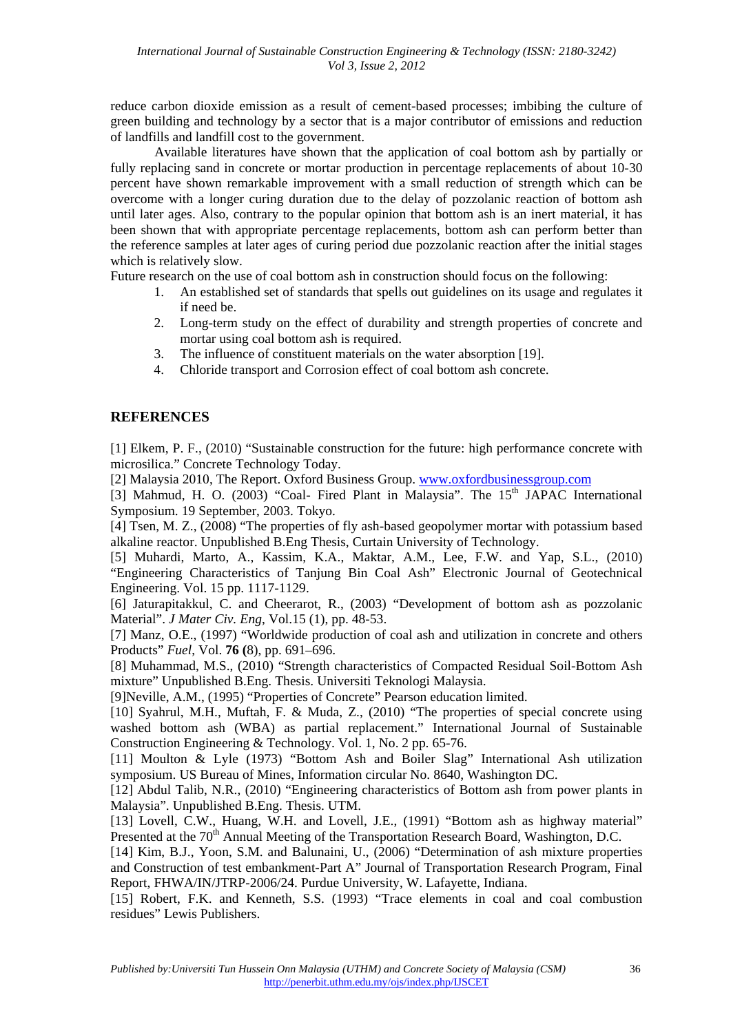reduce carbon dioxide emission as a result of cement-based processes; imbibing the culture of green building and technology by a sector that is a major contributor of emissions and reduction of landfills and landfill cost to the government.

Available literatures have shown that the application of coal bottom ash by partially or fully replacing sand in concrete or mortar production in percentage replacements of about 10-30 percent have shown remarkable improvement with a small reduction of strength which can be overcome with a longer curing duration due to the delay of pozzolanic reaction of bottom ash until later ages. Also, contrary to the popular opinion that bottom ash is an inert material, it has been shown that with appropriate percentage replacements, bottom ash can perform better than the reference samples at later ages of curing period due pozzolanic reaction after the initial stages which is relatively slow.

Future research on the use of coal bottom ash in construction should focus on the following:

- 1. An established set of standards that spells out guidelines on its usage and regulates it if need be.
- 2. Long-term study on the effect of durability and strength properties of concrete and mortar using coal bottom ash is required.
- 3. The influence of constituent materials on the water absorption [19].
- 4. Chloride transport and Corrosion effect of coal bottom ash concrete.

#### **REFERENCES**

[1] Elkem, P. F., (2010) "Sustainable construction for the future: high performance concrete with microsilica." Concrete Technology Today.

[2] Malaysia 2010, The Report. Oxford Business Group. www.oxfordbusinessgroup.com

[3] Mahmud, H. O. (2003) "Coal- Fired Plant in Malaysia". The  $15<sup>th</sup>$  JAPAC International Symposium. 19 September, 2003. Tokyo.

[4] Tsen, M. Z., (2008) "The properties of fly ash-based geopolymer mortar with potassium based alkaline reactor. Unpublished B.Eng Thesis, Curtain University of Technology.

[5] Muhardi, Marto, A., Kassim, K.A., Maktar, A.M., Lee, F.W. and Yap, S.L., (2010) "Engineering Characteristics of Tanjung Bin Coal Ash" Electronic Journal of Geotechnical Engineering. Vol. 15 pp. 1117-1129.

[6] Jaturapitakkul, C. and Cheerarot, R., (2003) "Development of bottom ash as pozzolanic Material". *J Mater Civ. Eng*, Vol.15 (1), pp. 48-53.

[7] Manz, O.E., (1997) "Worldwide production of coal ash and utilization in concrete and others Products" *Fuel*, Vol. **76 (**8), pp. 691–696.

[8] Muhammad, M.S., (2010) "Strength characteristics of Compacted Residual Soil-Bottom Ash mixture" Unpublished B.Eng. Thesis. Universiti Teknologi Malaysia.

[9]Neville, A.M., (1995) "Properties of Concrete" Pearson education limited.

[10] Syahrul, M.H., Muftah, F. & Muda, Z., (2010) "The properties of special concrete using washed bottom ash (WBA) as partial replacement." International Journal of Sustainable Construction Engineering & Technology. Vol. 1, No. 2 pp. 65-76.

[11] Moulton & Lyle (1973) "Bottom Ash and Boiler Slag" International Ash utilization symposium. US Bureau of Mines, Information circular No. 8640, Washington DC.

[12] Abdul Talib, N.R., (2010) "Engineering characteristics of Bottom ash from power plants in Malaysia". Unpublished B.Eng. Thesis. UTM.

[13] Lovell, C.W., Huang, W.H. and Lovell, J.E., (1991) "Bottom ash as highway material" Presented at the 70<sup>th</sup> Annual Meeting of the Transportation Research Board, Washington, D.C.

[14] Kim, B.J., Yoon, S.M. and Balunaini, U., (2006) "Determination of ash mixture properties and Construction of test embankment-Part A" Journal of Transportation Research Program, Final Report, FHWA/IN/JTRP-2006/24. Purdue University, W. Lafayette, Indiana.

[15] Robert, F.K. and Kenneth, S.S. (1993) "Trace elements in coal and coal combustion residues" Lewis Publishers.